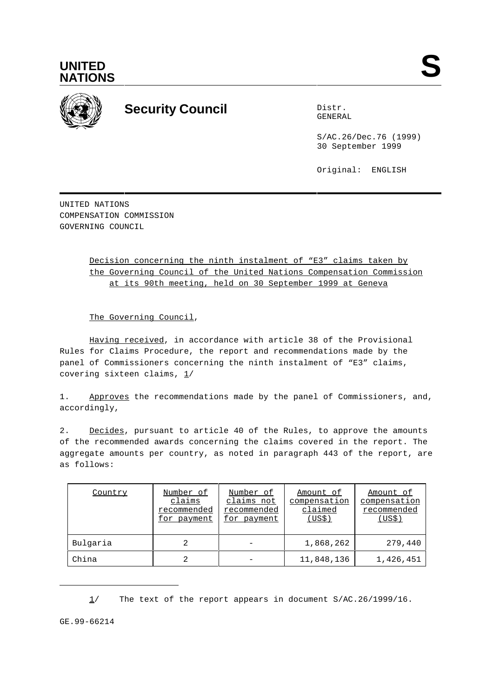



## **Security Council** Distribution Distribution of Distribution Distribution of Distribution of Distribution of Distribution of Distribution of Distribution of Distribution of Distribution of Distribution of Distribution of D

GENERAL

S/AC.26/Dec.76 (1999) 30 September 1999

Original: ENGLISH

UNITED NATIONS COMPENSATION COMMISSION GOVERNING COUNCIL

> Decision concerning the ninth instalment of "E3" claims taken by the Governing Council of the United Nations Compensation Commission at its 90th meeting, held on 30 September 1999 at Geneva

The Governing Council,

Having received, in accordance with article 38 of the Provisional Rules for Claims Procedure, the report and recommendations made by the panel of Commissioners concerning the ninth instalment of "E3" claims, covering sixteen claims,  $1/$ 

1. Approves the recommendations made by the panel of Commissioners, and, accordingly,

2. Decides, pursuant to article 40 of the Rules, to approve the amounts of the recommended awards concerning the claims covered in the report. The aggregate amounts per country, as noted in paragraph 443 of the report, are as follows:

| Country  | Number of<br>claims<br>recommended<br>for payment | Number of<br>claims not<br>recommended<br>for payment | Amount of<br>compensation<br>claimed<br>(US\$) | Amount of<br>compensation<br>recommended<br>(US\$) |
|----------|---------------------------------------------------|-------------------------------------------------------|------------------------------------------------|----------------------------------------------------|
| Bulgaria |                                                   |                                                       | 1,868,262                                      | 279,440                                            |
| China    |                                                   |                                                       | 11,848,136                                     | 1,426,451                                          |

1/ The text of the report appears in document S/AC.26/1999/16.

GE.99-66214